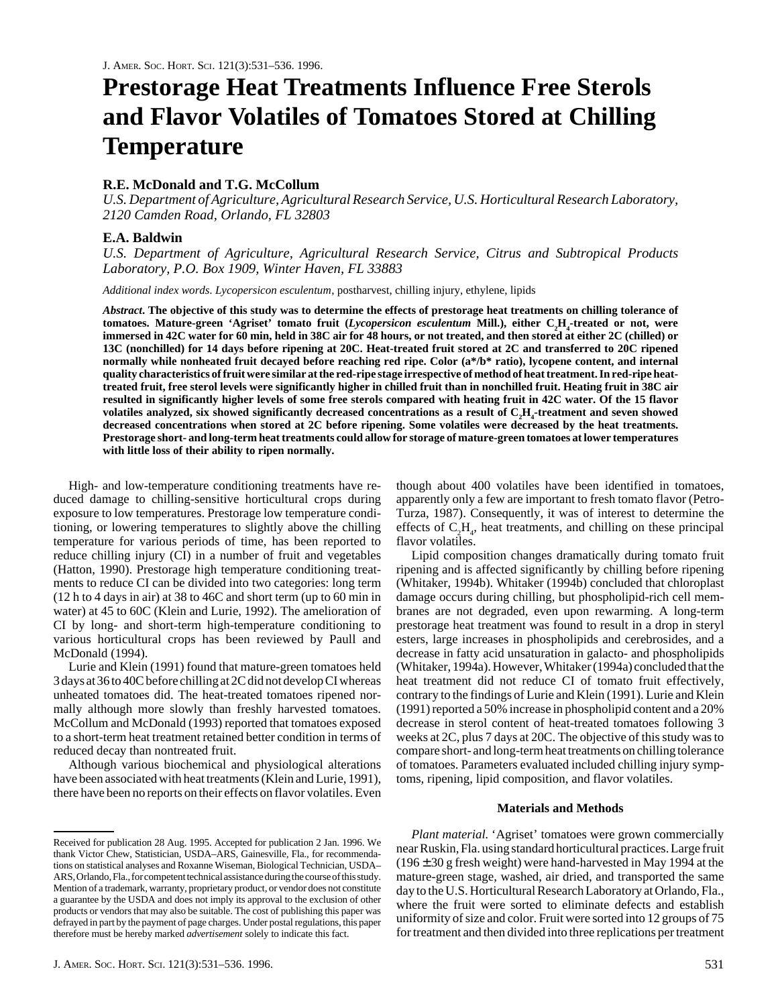# **Prestorage Heat Treatments Influence Free Sterols and Flavor Volatiles of Tomatoes Stored at Chilling Temperature**

# **R.E. McDonald and T.G. McCollum**

*U.S. Department of Agriculture, Agricultural Research Service, U.S. Horticultural Research Laboratory, 2120 Camden Road, Orlando, FL 32803*

## **E.A. Baldwin**

*U.S. Department of Agriculture, Agricultural Research Service, Citrus and Subtropical Products Laboratory, P.O. Box 1909, Winter Haven, FL 33883*

*Additional index words*. *Lycopersicon esculentum*, postharvest, chilling injury, ethylene, lipids

*Abstract***. The objective of this study was to determine the effects of prestorage heat treatments on chilling tolerance of** tomatoes. Mature-green 'Agriset' tomato fruit (*Lycopersicon esculentum* Mill.), either C<sub>2</sub>H<sub>4</sub>-treated or not, were **immersed in 42C water for 60 min, held in 38C air for 48 hours, or not treated, and then stored at either 2C (chilled) or 13C (nonchilled) for 14 days before ripening at 20C. Heat-treated fruit stored at 2C and transferred to 20C ripened normally while nonheated fruit decayed before reaching red ripe. Color (a\*/b\* ratio), lycopene content, and internal quality characteristics of fruit were similar at the red-ripe stage irrespective of method of heat treatment. In red-ripe heattreated fruit, free sterol levels were significantly higher in chilled fruit than in nonchilled fruit. Heating fruit in 38C air resulted in significantly higher levels of some free sterols compared with heating fruit in 42C water. Of the 15 flavor**  $v$ olatiles analyzed, six showed significantly decreased concentrations as a result of  $\rm C_2H_4$ -treatment and seven showed **decreased concentrations when stored at 2C before ripening. Some volatiles were decreased by the heat treatments. Prestorage short- and long-term heat treatments could allow for storage of mature-green tomatoes at lower temperatures with little loss of their ability to ripen normally.**

High- and low-temperature conditioning treatments have reduced damage to chilling-sensitive horticultural crops during exposure to low temperatures. Prestorage low temperature conditioning, or lowering temperatures to slightly above the chilling temperature for various periods of time, has been reported to reduce chilling injury (CI) in a number of fruit and vegetables (Hatton, 1990). Prestorage high temperature conditioning treatments to reduce CI can be divided into two categories: long term (12 h to 4 days in air) at 38 to 46C and short term (up to 60 min in water) at 45 to 60C (Klein and Lurie, 1992). The amelioration of CI by long- and short-term high-temperature conditioning to various horticultural crops has been reviewed by Paull and McDonald (1994).

Lurie and Klein (1991) found that mature-green tomatoes held 3 days at 36 to 40C before chilling at 2C did not develop CI whereas unheated tomatoes did. The heat-treated tomatoes ripened normally although more slowly than freshly harvested tomatoes. McCollum and McDonald (1993) reported that tomatoes exposed to a short-term heat treatment retained better condition in terms of reduced decay than nontreated fruit.

Although various biochemical and physiological alterations have been associated with heat treatments (Klein and Lurie, 1991), there have been no reports on their effects on flavor volatiles. Even

though about 400 volatiles have been identified in tomatoes, apparently only a few are important to fresh tomato flavor (Petro-Turza, 1987). Consequently, it was of interest to determine the effects of  $C_2H_4$ , heat treatments, and chilling on these principal flavor volatiles.

Lipid composition changes dramatically during tomato fruit ripening and is affected significantly by chilling before ripening (Whitaker, 1994b). Whitaker (1994b) concluded that chloroplast damage occurs during chilling, but phospholipid-rich cell membranes are not degraded, even upon rewarming. A long-term prestorage heat treatment was found to result in a drop in steryl esters, large increases in phospholipids and cerebrosides, and a decrease in fatty acid unsaturation in galacto- and phospholipids (Whitaker, 1994a). However, Whitaker (1994a) concluded that the heat treatment did not reduce CI of tomato fruit effectively, contrary to the findings of Lurie and Klein (1991). Lurie and Klein (1991) reported a 50% increase in phospholipid content and a 20% decrease in sterol content of heat-treated tomatoes following 3 weeks at 2C, plus 7 days at 20C. The objective of this study was to compare short- and long-term heat treatments on chilling tolerance of tomatoes. Parameters evaluated included chilling injury symptoms, ripening, lipid composition, and flavor volatiles.

## **Materials and Methods**

*Plant material*. 'Agriset' tomatoes were grown commercially near Ruskin, Fla. using standard horticultural practices. Large fruit  $(196 \pm 30$  g fresh weight) were hand-harvested in May 1994 at the mature-green stage, washed, air dried, and transported the same day to the U.S. Horticultural Research Laboratory at Orlando, Fla., where the fruit were sorted to eliminate defects and establish uniformity of size and color. Fruit were sorted into 12 groups of 75 for treatment and then divided into three replications per treatment

Received for publication 28 Aug. 1995. Accepted for publication 2 Jan. 1996. We thank Victor Chew, Statistician, USDA–ARS, Gainesville, Fla., for recommendations on statistical analyses and Roxanne Wiseman, Biological Technician, USDA– ARS, Orlando, Fla., for competent technical assistance during the course of this study. Mention of a trademark, warranty, proprietary product, or vendor does not constitute a guarantee by the USDA and does not imply its approval to the exclusion of other products or vendors that may also be suitable. The cost of publishing this paper was defrayed in part by the payment of page charges. Under postal regulations, this paper therefore must be hereby marked *advertisement* solely to indicate this fact.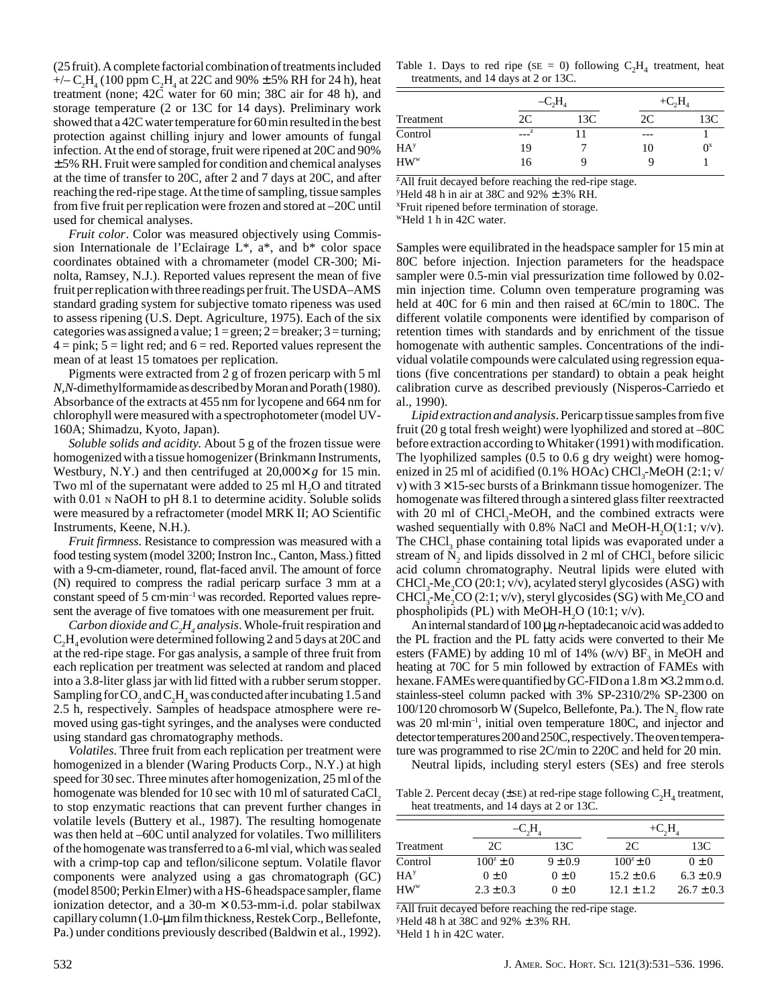(25 fruit). A complete factorial combination of treatments included +/–  $C_2H_4$  (100 ppm  $C_2H_4$  at 22C and 90%  $\pm$  5% RH for 24 h), heat treatment (none; 42C water for 60 min; 38C air for 48 h), and storage temperature (2 or 13C for 14 days). Preliminary work showed that a 42C water temperature for 60 min resulted in the best protection against chilling injury and lower amounts of fungal infection. At the end of storage, fruit were ripened at 20C and 90%  $\pm$  5% RH. Fruit were sampled for condition and chemical analyses at the time of transfer to 20C, after 2 and 7 days at 20C, and after reaching the red-ripe stage. At the time of sampling, tissue samples from five fruit per replication were frozen and stored at –20C until used for chemical analyses.

*Fruit color*. Color was measured objectively using Commission Internationale de l'Eclairage L\*, a\*, and b\* color space coordinates obtained with a chromameter (model CR-300; Minolta, Ramsey, N.J.). Reported values represent the mean of five fruit per replication with three readings per fruit. The USDA–AMS standard grading system for subjective tomato ripeness was used to assess ripening (U.S. Dept. Agriculture, 1975). Each of the six categories was assigned a value;  $1 = \text{green}$ ;  $2 = \text{breaker}$ ;  $3 = \text{turning}$ ;  $4 = \text{pink}$ ;  $5 = \text{light red}$ ; and  $6 = \text{red}$ . Reported values represent the mean of at least 15 tomatoes per replication.

Pigments were extracted from 2 g of frozen pericarp with 5 ml *N,N*-dimethylformamide as described by Moran and Porath (1980). Absorbance of the extracts at 455 nm for lycopene and 664 nm for chlorophyll were measured with a spectrophotometer (model UV-160A; Shimadzu, Kyoto, Japan).

*Soluble solids and acidity*. About 5 g of the frozen tissue were homogenized with a tissue homogenizer (Brinkmann Instruments, Westbury, N.Y.) and then centrifuged at 20,000× *g* for 15 min. Two ml of the supernatant were added to  $25 \text{ ml H}_2\text{O}$  and titrated with 0.01 N NaOH to pH 8.1 to determine acidity. Soluble solids were measured by a refractometer (model MRK II; AO Scientific Instruments, Keene, N.H.).

*Fruit firmness*. Resistance to compression was measured with a food testing system (model 3200; Instron Inc., Canton, Mass.) fitted with a 9-cm-diameter, round, flat-faced anvil. The amount of force (N) required to compress the radial pericarp surface 3 mm at a constant speed of 5 cm·min–1 was recorded. Reported values represent the average of five tomatoes with one measurement per fruit.

*Carbon dioxide and*  $C_2H_4$  *analysis.* Whole-fruit respiration and  $C_2H_4$  evolution were determined following 2 and 5 days at 20C and at the red-ripe stage. For gas analysis, a sample of three fruit from each replication per treatment was selected at random and placed into a 3.8-liter glass jar with lid fitted with a rubber serum stopper. Sampling for  $\rm CO_2$  and  $\rm C_2H_4$  was conducted after incubating 1.5 and 2.5 h, respectively. Samples of headspace atmosphere were removed using gas-tight syringes, and the analyses were conducted using standard gas chromatography methods.

*Volatiles*. Three fruit from each replication per treatment were homogenized in a blender (Waring Products Corp., N.Y.) at high speed for 30 sec. Three minutes after homogenization, 25 ml of the homogenate was blended for 10 sec with 10 ml of saturated CaCl, to stop enzymatic reactions that can prevent further changes in volatile levels (Buttery et al., 1987). The resulting homogenate was then held at –60C until analyzed for volatiles. Two milliliters of the homogenate was transferred to a 6-ml vial, which was sealed with a crimp-top cap and teflon/silicone septum. Volatile flavor components were analyzed using a gas chromatograph (GC) (model 8500; Perkin Elmer) with a HS-6 headspace sampler, flame ionization detector, and a  $30-m \times 0.53$ -mm-i.d. polar stabilwax capillary column (1.0-µm film thickness, Restek Corp., Bellefonte, Pa.) under conditions previously described (Baldwin et al., 1992).

|  |                                      |  |  |  | Table 1. Days to red ripe ( $SE = 0$ ) following $C_2H_4$ treatment, heat |  |
|--|--------------------------------------|--|--|--|---------------------------------------------------------------------------|--|
|  | treatments, and 14 days at 2 or 13C. |  |  |  |                                                                           |  |

|                 | $-C2H$ |     | $+C, H$ |       |
|-----------------|--------|-----|---------|-------|
| Treatment       | 2C     | 13C | 2C      | 13C   |
| Control         | z      |     | ---     |       |
| HA <sup>y</sup> | 19     |     | 10      | $0^x$ |
| $HW^w$          | 16     |     |         |       |

<sup>z</sup>All fruit decayed before reaching the red-ripe stage.

<sup>y</sup>Held 48 h in air at 38C and 92%  $\pm$  3% RH.

x Fruit ripened before termination of storage.

wHeld 1 h in 42C water.

Samples were equilibrated in the headspace sampler for 15 min at 80C before injection. Injection parameters for the headspace sampler were 0.5-min vial pressurization time followed by 0.02 min injection time. Column oven temperature programing was held at 40C for 6 min and then raised at 6C/min to 180C. The different volatile components were identified by comparison of retention times with standards and by enrichment of the tissue homogenate with authentic samples. Concentrations of the individual volatile compounds were calculated using regression equations (five concentrations per standard) to obtain a peak height calibration curve as described previously (Nisperos-Carriedo et al., 1990).

*Lipid extraction and analysis*. Pericarp tissue samples from five fruit (20 g total fresh weight) were lyophilized and stored at –80C before extraction according to Whitaker (1991) with modification. The lyophilized samples (0.5 to 0.6 g dry weight) were homogenized in 25 ml of acidified  $(0.1\% \text{ HOAc}) \text{CHCl}_3\text{-}\text{MeOH}$   $(2.1; \text{v/}$ v) with  $3 \times 15$ -sec bursts of a Brinkmann tissue homogenizer. The homogenate was filtered through a sintered glass filter reextracted with 20 ml of CHCl<sub>2</sub>-MeOH, and the combined extracts were washed sequentially with 0.8% NaCl and MeOH-H<sub>2</sub>O(1:1; v/v). The CHCl<sub>3</sub> phase containing total lipids was evaporated under a stream of  $N<sub>2</sub>$  and lipids dissolved in 2 ml of CHCl<sub>3</sub> before silicic acid column chromatography. Neutral lipids were eluted with  $CHCl<sub>3</sub>$ -Me<sub>2</sub>CO (20:1; v/v), acylated steryl glycosides (ASG) with CHCl<sub>3</sub>-Me<sub>2</sub>CO (2:1; v/v), steryl glycosides (SG) with Me<sub>2</sub>CO and phospholipids (PL) with MeOH-H<sub>2</sub>O (10:1;  $v/v$ ).

An internal standard of 100 µg *n*-heptadecanoic acid was added to the PL fraction and the PL fatty acids were converted to their Me esters (FAME) by adding 10 ml of 14% (w/v)  $BF_3$  in MeOH and heating at 70C for 5 min followed by extraction of FAMEs with hexane. FAMEs were quantified by GC-FID on a  $1.8 \text{ m} \times 3.2 \text{ mm}$  o.d. stainless-steel column packed with 3% SP-2310/2% SP-2300 on  $100/120$  chromosorb W (Supelco, Bellefonte, Pa.). The N<sub>2</sub> flow rate was 20 ml·min<sup>-1</sup>, initial oven temperature 180C, and injector and detector temperatures 200 and 250C, respectively. The oven temperature was programmed to rise 2C/min to 220C and held for 20 min.

Neutral lipids, including steryl esters (SEs) and free sterols

Table 2. Percent decay ( $\pm$ SE) at red-ripe stage following  $C_2H_4$  treatment, heat treatments, and 14 days at 2 or 13C.

|                 | $-C2H2$       |             | $+C_2H$        |                |  |
|-----------------|---------------|-------------|----------------|----------------|--|
| Treatment       | 2C            | 13C         | 2C             | 13C            |  |
| Control         | $100^2 \pm 0$ | $9 \pm 0.9$ | $100^2 \pm 0$  | $0 \pm 0$      |  |
| HA <sup>y</sup> | $0 \pm 0$     | $0 \pm 0$   | $15.2 \pm 0.6$ | $6.3 \pm 0.9$  |  |
| $HW^w$          | $2.3 \pm 0.3$ | $0 \pm 0$   | $12.1 + 1.2$   | $26.7 \pm 0.3$ |  |

<sup>z</sup>All fruit decayed before reaching the red-ripe stage.

y Held 48 h at 38C and 92% ± 3% RH.

x Held 1 h in 42C water.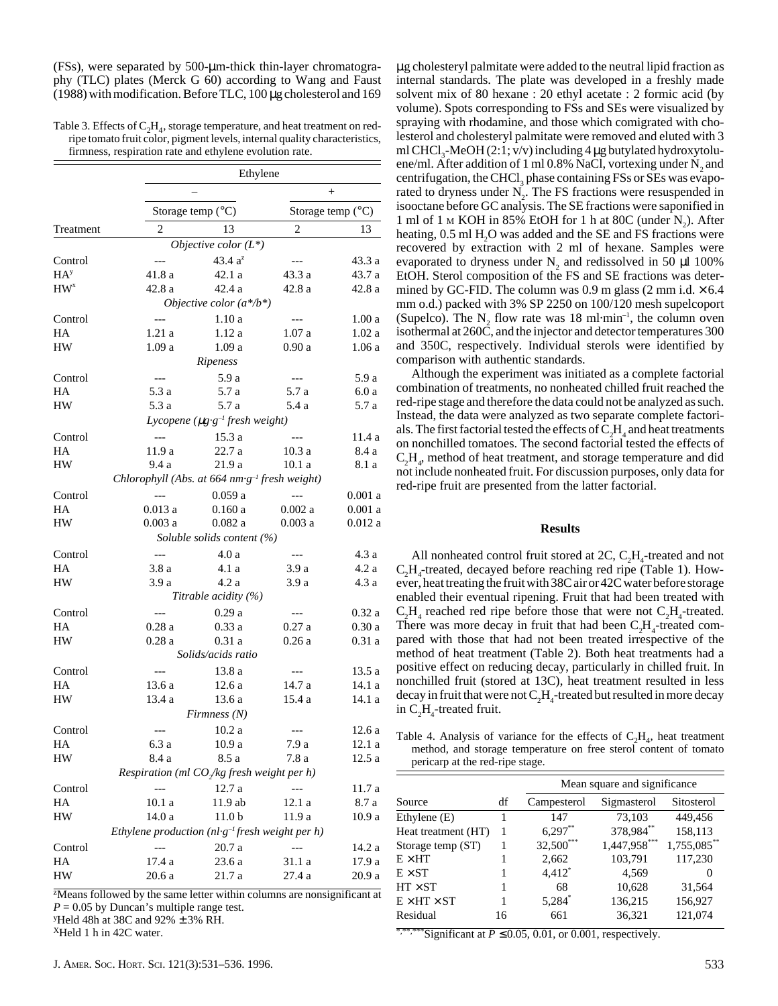(FSs), were separated by 500-µm-thick thin-layer chromatography (TLC) plates (Merck G 60) according to Wang and Faust (1988) with modification. Before TLC, 100 µg cholesterol and 169

## Table 3. Effects of  $C_2H_4$ , storage temperature, and heat treatment on redripe tomato fruit color, pigment levels, internal quality characteristics, firmness, respiration rate and ethylene evolution rate.

|                 | Ethylene                                                    |                                                  |                      |                              |  |  |
|-----------------|-------------------------------------------------------------|--------------------------------------------------|----------------------|------------------------------|--|--|
|                 |                                                             |                                                  |                      |                              |  |  |
|                 |                                                             | Storage temp (°C)                                |                      | Storage temp (°C)            |  |  |
| Treatment       | 2                                                           | 13                                               | $\overline{2}$       | 13                           |  |  |
|                 |                                                             | Objective color $(L^*)$                          |                      |                              |  |  |
| Control         | $---$                                                       | 43.4 $a^2$                                       | ---                  | 43.3 a                       |  |  |
| HA <sup>y</sup> | 41.8 a                                                      | 42.1a                                            | 43.3 a               | 43.7 a                       |  |  |
| HW <sup>x</sup> | 42.8a                                                       | 42.4 a                                           | 42.8 a               | 42.8a                        |  |  |
|                 |                                                             | Objective color $(a^*/b^*)$                      |                      |                              |  |  |
| Control         | $---$                                                       | 1.10a                                            | $---$                | 1.00a                        |  |  |
| HA              | 1.21a                                                       | 1.12a                                            | 1.07a                | 1.02a                        |  |  |
| HW              | 1.09a                                                       | 1.09a                                            | 0.90a                | 1.06a                        |  |  |
|                 |                                                             | Ripeness                                         |                      |                              |  |  |
| Control         | $---$                                                       | 5.9 a                                            | $---$                | 5.9 a                        |  |  |
| HA              | 5.3 a                                                       | 5.7 a                                            | 5.7 a                | 6.0a                         |  |  |
| HW              | 5.3 a                                                       | 5.7 a                                            | 5.4 a                | 5.7 a                        |  |  |
|                 |                                                             | Lycopene ( $\mu$ g·g <sup>-1</sup> fresh weight) |                      |                              |  |  |
| Control         | $---$                                                       | 15.3a                                            | $\sim$ $\sim$ $\sim$ | 11.4a                        |  |  |
| HA              | 11.9 a                                                      | 22.7 a                                           | 10.3a                | 8.4 a                        |  |  |
| ${\rm HW}$      | 9.4a                                                        | 21.9 a                                           | 10.1a                | 8.1 a                        |  |  |
|                 | Chlorophyll (Abs. at 664 nm·g <sup>-1</sup> fresh weight)   |                                                  |                      |                              |  |  |
| Control         | $\overline{a}$                                              | 0.059a                                           | $---$                | 0.001a                       |  |  |
| HA              | 0.013a                                                      | 0.160a                                           | $0.002~\rm{a}$       | 0.001a                       |  |  |
| HW              | 0.003a                                                      | 0.082a                                           | 0.003a               | 0.012a                       |  |  |
|                 |                                                             | Soluble solids content (%)                       |                      |                              |  |  |
| Control         | $\overline{a}$                                              | 4.0a                                             | $---$                | 4.3a                         |  |  |
| HA              | 3.8a                                                        | 4.1 a                                            | 3.9a                 | 4.2a                         |  |  |
| HW              | 3.9a                                                        | 4.2 a                                            | 3.9 a                | 4.3a                         |  |  |
|                 |                                                             | Titrable acidity $(\%)$                          |                      |                              |  |  |
| Control         | $\overline{a}$                                              | 0.29a                                            | $---$                | 0.32a                        |  |  |
| HA              | 0.28a                                                       | 0.33a                                            | 0.27a                | 0.30a                        |  |  |
| HW              | 0.28a                                                       | 0.31a                                            | 0.26a                | 0.31a                        |  |  |
|                 |                                                             | Solids/acids ratio                               |                      |                              |  |  |
| Control         | $---$                                                       | 13.8a                                            | $---$                | $13.5\ \mathrm{a}$           |  |  |
| HA              | 13.6 a                                                      | $12.6\ a$                                        | 14.7 a               | 14.1 a                       |  |  |
| HW              | 13.4a                                                       | 13.6a                                            | 15.4 a               | 14.1 a                       |  |  |
|                 |                                                             | Firmness(N)                                      |                      |                              |  |  |
| Control         |                                                             | 10.2a                                            |                      | $12.6\ a$                    |  |  |
|                 | 6.3a                                                        |                                                  | 7.9 a                |                              |  |  |
| HА<br>HW        | 8.4 a                                                       | 10.9 a<br>8.5 a                                  | 7.8 a                | 12.1 a<br>$12.5\ \mathrm{a}$ |  |  |
|                 | Respiration (ml $CO$ /kg fresh weight per h)                |                                                  |                      |                              |  |  |
|                 |                                                             |                                                  |                      |                              |  |  |
| Control<br>HA   | 10.1a                                                       | 12.7 a<br>11.9 ab                                |                      | 11.7 a                       |  |  |
|                 |                                                             |                                                  | 12.1 a               | 8.7 a                        |  |  |
| HW              | 14.0 a<br>Ethylene production $(nl·g-1$ fresh weight per h) | 11.0 <sub>b</sub>                                | 11.9 a               | 10.9 a                       |  |  |
|                 |                                                             |                                                  |                      |                              |  |  |
| Control         |                                                             | $20.7\ \mathrm{a}$                               |                      | 14.2 a                       |  |  |
| HA              | 17.4 a                                                      | 23.6 a                                           | 31.1 a               | 17.9 a                       |  |  |
| HW              | 20.6a                                                       | $21.7\ \mathrm{a}$                               | 27.4 a               | 20.9a                        |  |  |

<sup>z</sup>Means followed by the same letter within columns are nonsignificant at  $P = 0.05$  by Duncan's multiple range test. y Held 48h at 38C and 92% ± 3% RH.

 $X$ Held 1 h in 42C water.

µg cholesteryl palmitate were added to the neutral lipid fraction as internal standards. The plate was developed in a freshly made solvent mix of 80 hexane : 20 ethyl acetate : 2 formic acid (by volume). Spots corresponding to FSs and SEs were visualized by spraying with rhodamine, and those which comigrated with cholesterol and cholesteryl palmitate were removed and eluted with 3 ml CHCl<sub>3</sub>-MeOH  $(2:1; v/v)$  including 4 µg butylated hydroxytoluene/ml. After addition of 1 ml 0.8% NaCl, vortexing under  $\mathrm{N}_2$  and centrifugation, the CHCl<sub>3</sub> phase containing FSs or SEs was evaporated to dryness under  $N<sub>2</sub>$ . The FS fractions were resuspended in isooctane before GC analysis. The SE fractions were saponified in 1 ml of 1  $\mu$  KOH in 85% EtOH for 1 h at 80C (under N<sub>2</sub>). After heating, 0.5 ml H<sub>2</sub>O was added and the SE and FS fractions were recovered by extraction with 2 ml of hexane. Samples were evaporated to dryness under  $N_2$  and redissolved in 50  $\mu$ l 100% EtOH. Sterol composition of the FS and SE fractions was determined by GC-FID. The column was 0.9 m glass (2 mm i.d.  $\times$  6.4 mm o.d.) packed with 3% SP 2250 on 100/120 mesh supelcoport (Supelco). The N<sub>2</sub> flow rate was 18 ml $\cdot$ min<sup>-1</sup>, the column oven isothermal at 260C, and the injector and detector temperatures 300 and 350C, respectively. Individual sterols were identified by comparison with authentic standards.

Although the experiment was initiated as a complete factorial combination of treatments, no nonheated chilled fruit reached the red-ripe stage and therefore the data could not be analyzed as such. Instead, the data were analyzed as two separate complete factorials. The first factorial tested the effects of  $\rm C_2H_4$  and heat treatments on nonchilled tomatoes. The second factorial tested the effects of  $C_2H_\phi$ , method of heat treatment, and storage temperature and did not include nonheated fruit. For discussion purposes, only data for red-ripe fruit are presented from the latter factorial.

## **Results**

All nonheated control fruit stored at  $2C$ ,  $C_2H_4$ -treated and not  $C_2H_4$ -treated, decayed before reaching red ripe (Table 1). However, heat treating the fruit with 38C air or 42C water before storage enabled their eventual ripening. Fruit that had been treated with  $C_2H_4$  reached red ripe before those that were not  $C_2H_4$ -treated. There was more decay in fruit that had been  $C_2H_4$ -treated compared with those that had not been treated irrespective of the method of heat treatment (Table 2). Both heat treatments had a positive effect on reducing decay, particularly in chilled fruit. In nonchilled fruit (stored at 13C), heat treatment resulted in less decay in fruit that were not  $C_2H_4$ -treated but resulted in more decay in  $C_2H_4$ -treated fruit.

Table 4. Analysis of variance for the effects of  $C_2H_4$ , heat treatment method, and storage temperature on free sterol content of tomato pericarp at the red-ripe stage.

|                         |    | Mean square and significance |              |                |  |  |  |  |
|-------------------------|----|------------------------------|--------------|----------------|--|--|--|--|
| Source                  | df | Campesterol                  | Sigmasterol  | Sitosterol     |  |  |  |  |
| Ethylene (E)            |    | 147                          | 73,103       | 449,456        |  |  |  |  |
| Heat treatment (HT)     |    | $6,297***$                   | 378,984**    | 158,113        |  |  |  |  |
| Storage temp (ST)       |    | 32,500***                    | 1,447,958*** | $1,755,085$ ** |  |  |  |  |
| $E \times HT$           |    | 2,662                        | 103,791      | 117,230        |  |  |  |  |
| $E \times ST$           |    | $4,412^*$                    | 4,569        | $\theta$       |  |  |  |  |
| $HT \times ST$          |    | 68                           | 10,628       | 31,564         |  |  |  |  |
| $E \times HT \times ST$ |    | $5,284$ <sup>*</sup>         | 136,215      | 156,927        |  |  |  |  |
| Residual                | 16 | 661                          | 36,321       | 121,074        |  |  |  |  |

\*Significant at  $P \le 0.05$ , 0.01, or 0.001, respectively.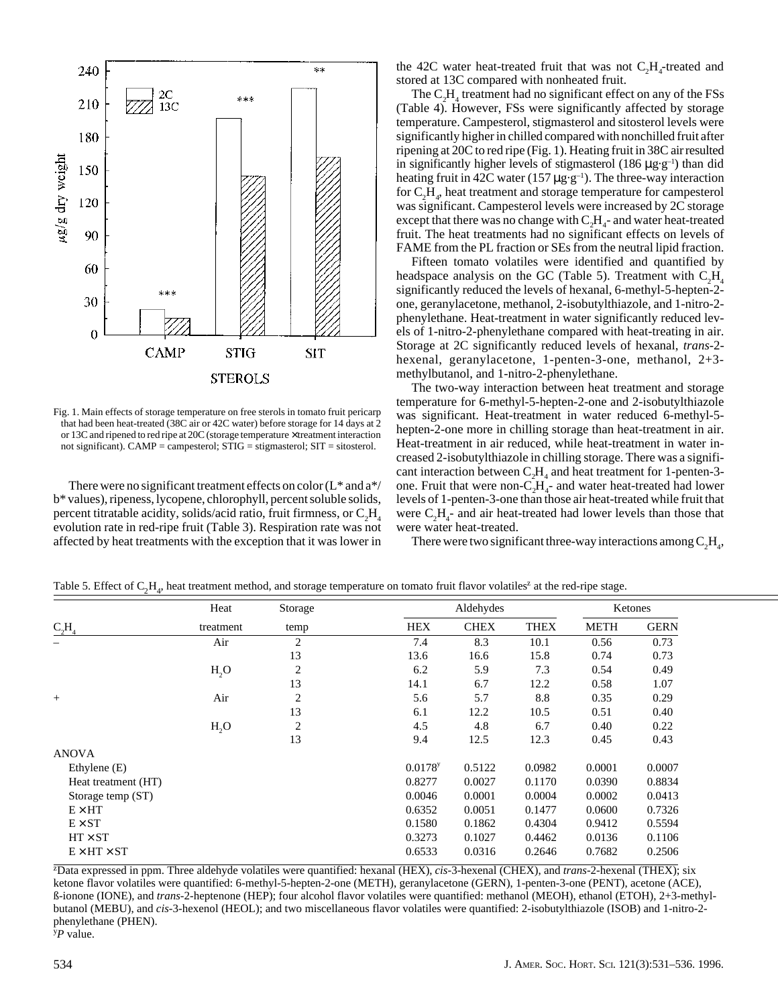

Fig. 1. Main effects of storage temperature on free sterols in tomato fruit pericarp that had been heat-treated (38C air or 42C water) before storage for 14 days at 2 or 13C and ripened to red ripe at 20C (storage temperature × treatment interaction not significant). CAMP = campesterol; STIG = stigmasterol; SIT = sitosterol.

There were no significant treatment effects on color  $(L^*$  and  $a^*/$ b\* values), ripeness, lycopene, chlorophyll, percent soluble solids, percent titratable acidity, solids/acid ratio, fruit firmness, or  $\rm C_2H_4$ evolution rate in red-ripe fruit (Table 3). Respiration rate was not affected by heat treatments with the exception that it was lower in

the 42C water heat-treated fruit that was not  $C_2H_4$ -treated and stored at 13C compared with nonheated fruit.

The  $C_2H_4$  treatment had no significant effect on any of the FSs (Table 4). However, FSs were significantly affected by storage temperature. Campesterol, stigmasterol and sitosterol levels were significantly higher in chilled compared with nonchilled fruit after ripening at 20C to red ripe (Fig. 1). Heating fruit in 38C air resulted in significantly higher levels of stigmasterol (186  $\mu$ g·g<sup>-1</sup>) than did heating fruit in 42C water (157  $\mu$ g·g<sup>-1</sup>). The three-way interaction for  $\mathrm{C_2H}_4$ , heat treatment and storage temperature for campesterol was significant. Campesterol levels were increased by 2C storage except that there was no change with  $C_2H_4$ - and water heat-treated fruit. The heat treatments had no significant effects on levels of FAME from the PL fraction or SEs from the neutral lipid fraction.

Fifteen tomato volatiles were identified and quantified by headspace analysis on the GC (Table 5). Treatment with  $C_2H_4$ significantly reduced the levels of hexanal, 6-methyl-5-hepten-2 one, geranylacetone, methanol, 2-isobutylthiazole, and 1-nitro-2 phenylethane. Heat-treatment in water significantly reduced levels of 1-nitro-2-phenylethane compared with heat-treating in air. Storage at 2C significantly reduced levels of hexanal, *trans*-2 hexenal, geranylacetone, 1-penten-3-one, methanol, 2+3 methylbutanol, and 1-nitro-2-phenylethane.

The two-way interaction between heat treatment and storage temperature for 6-methyl-5-hepten-2-one and 2-isobutylthiazole was significant. Heat-treatment in water reduced 6-methyl-5 hepten-2-one more in chilling storage than heat-treatment in air. Heat-treatment in air reduced, while heat-treatment in water increased 2-isobutylthiazole in chilling storage. There was a significant interaction between  $C_2H_4$  and heat treatment for 1-penten-3one. Fruit that were non- $C_2H_4$ - and water heat-treated had lower levels of 1-penten-3-one than those air heat-treated while fruit that were  $C_2H_4$ - and air heat-treated had lower levels than those that were water heat-treated.

There were two significant three-way interactions among  $C_2H_4$ ,

|                         | Heat             | Storage        |                       | Aldehydes   |             |             | Ketones     |  |
|-------------------------|------------------|----------------|-----------------------|-------------|-------------|-------------|-------------|--|
| $C_2H_4$                | treatment        | temp           | <b>HEX</b>            | <b>CHEX</b> | <b>THEX</b> | <b>METH</b> | <b>GERN</b> |  |
|                         | Air              | $\overline{c}$ | 7.4                   | 8.3         | 10.1        | 0.56        | 0.73        |  |
|                         |                  | 13             | 13.6                  | 16.6        | 15.8        | 0.74        | 0.73        |  |
|                         | H <sub>2</sub> O | $\overline{c}$ | 6.2                   | 5.9         | 7.3         | 0.54        | 0.49        |  |
|                         |                  | 13             | 14.1                  | 6.7         | 12.2        | 0.58        | 1.07        |  |
| $^{+}$                  | Air              | $\overline{c}$ | 5.6                   | 5.7         | 8.8         | 0.35        | 0.29        |  |
|                         |                  | 13             | 6.1                   | 12.2        | 10.5        | 0.51        | 0.40        |  |
|                         | H <sub>2</sub> O | $\overline{c}$ | 4.5                   | 4.8         | 6.7         | 0.40        | 0.22        |  |
|                         |                  | 13             | 9.4                   | 12.5        | 12.3        | 0.45        | 0.43        |  |
| <b>ANOVA</b>            |                  |                |                       |             |             |             |             |  |
| Ethylene $(E)$          |                  |                | $0.0178$ <sup>y</sup> | 0.5122      | 0.0982      | 0.0001      | 0.0007      |  |
| Heat treatment (HT)     |                  |                | 0.8277                | 0.0027      | 0.1170      | 0.0390      | 0.8834      |  |
| Storage temp (ST)       |                  |                | 0.0046                | 0.0001      | 0.0004      | 0.0002      | 0.0413      |  |
| $E \times HT$           |                  |                | 0.6352                | 0.0051      | 0.1477      | 0.0600      | 0.7326      |  |
| $E \times ST$           |                  |                | 0.1580                | 0.1862      | 0.4304      | 0.9412      | 0.5594      |  |
| $HT \times ST$          |                  |                | 0.3273                | 0.1027      | 0.4462      | 0.0136      | 0.1106      |  |
| $E \times HT \times ST$ |                  |                | 0.6533                | 0.0316      | 0.2646      | 0.7682      | 0.2506      |  |

Table 5. Effect of  $C_2H_4$ , heat treatment method, and storage temperature on tomato fruit flavor volatiles<sup>z</sup> at the red-ripe stage.

z Data expressed in ppm. Three aldehyde volatiles were quantified: hexanal (HEX), *cis*-3-hexenal (CHEX), and *trans*-2-hexenal (THEX); six ketone flavor volatiles were quantified: 6-methyl-5-hepten-2-one (METH), geranylacetone (GERN), 1-penten-3-one (PENT), acetone (ACE), ß-ionone (IONE), and *trans*-2-heptenone (HEP); four alcohol flavor volatiles were quantified: methanol (MEOH), ethanol (ETOH), 2+3-methylbutanol (MEBU), and *cis*-3-hexenol (HEOL); and two miscellaneous flavor volatiles were quantified: 2-isobutylthiazole (ISOB) and 1-nitro-2 phenylethane (PHEN). y *P* value.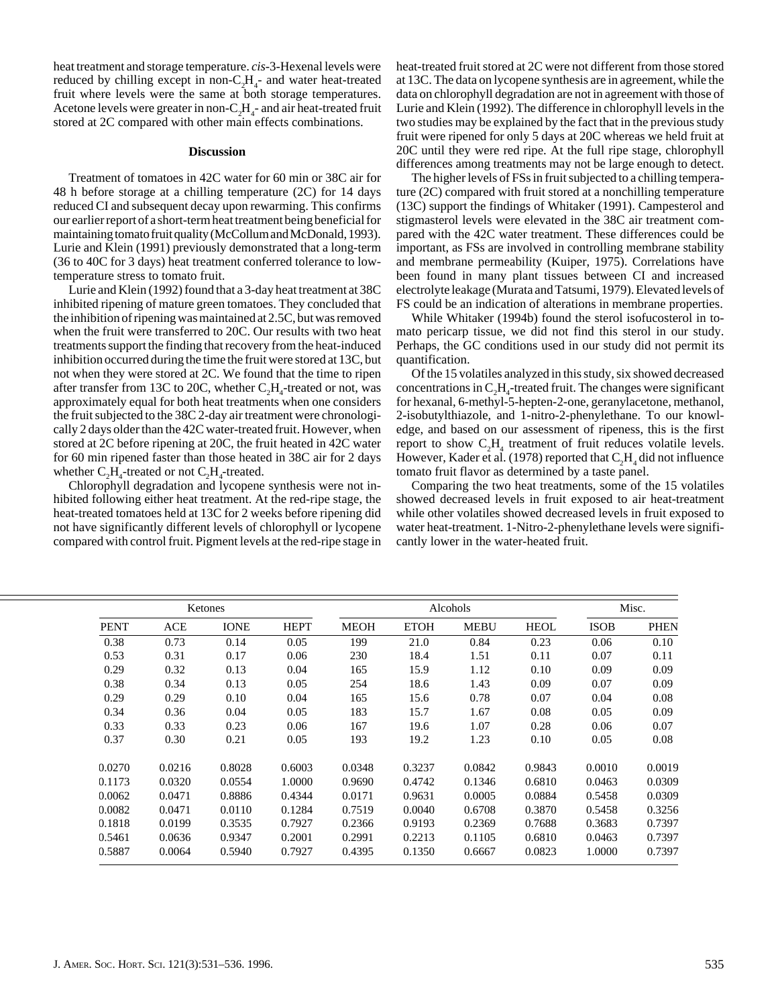heat treatment and storage temperature. *cis*-3-Hexenal levels were reduced by chilling except in non- $C_2H_4$ - and water heat-treated fruit where levels were the same at both storage temperatures. Acetone levels were greater in non- $C_2H_4$ - and air heat-treated fruit stored at 2C compared with other main effects combinations.

## **Discussion**

Treatment of tomatoes in 42C water for 60 min or 38C air for 48 h before storage at a chilling temperature (2C) for 14 days reduced CI and subsequent decay upon rewarming. This confirms our earlier report of a short-term heat treatment being beneficial for maintaining tomato fruit quality (McCollum and McDonald, 1993). Lurie and Klein (1991) previously demonstrated that a long-term (36 to 40C for 3 days) heat treatment conferred tolerance to lowtemperature stress to tomato fruit.

Lurie and Klein (1992) found that a 3-day heat treatment at 38C inhibited ripening of mature green tomatoes. They concluded that the inhibition of ripening was maintained at 2.5C, but was removed when the fruit were transferred to 20C. Our results with two heat treatments support the finding that recovery from the heat-induced inhibition occurred during the time the fruit were stored at 13C, but not when they were stored at 2C. We found that the time to ripen after transfer from 13C to 20C, whether  $C<sub>2</sub>H<sub>4</sub>$ -treated or not, was approximately equal for both heat treatments when one considers the fruit subjected to the 38C 2-day air treatment were chronologically 2 days older than the 42C water-treated fruit. However, when stored at 2C before ripening at 20C, the fruit heated in 42C water for 60 min ripened faster than those heated in 38C air for 2 days whether  $C_2H_4$ -treated or not  $C_2H_4$ -treated.

Chlorophyll degradation and lycopene synthesis were not inhibited following either heat treatment. At the red-ripe stage, the heat-treated tomatoes held at 13C for 2 weeks before ripening did not have significantly different levels of chlorophyll or lycopene compared with control fruit. Pigment levels at the red-ripe stage in

heat-treated fruit stored at 2C were not different from those stored at 13C. The data on lycopene synthesis are in agreement, while the data on chlorophyll degradation are not in agreement with those of Lurie and Klein (1992). The difference in chlorophyll levels in the two studies may be explained by the fact that in the previous study fruit were ripened for only 5 days at 20C whereas we held fruit at 20C until they were red ripe. At the full ripe stage, chlorophyll differences among treatments may not be large enough to detect.

The higher levels of FSs in fruit subjected to a chilling temperature (2C) compared with fruit stored at a nonchilling temperature (13C) support the findings of Whitaker (1991). Campesterol and stigmasterol levels were elevated in the 38C air treatment compared with the 42C water treatment. These differences could be important, as FSs are involved in controlling membrane stability and membrane permeability (Kuiper, 1975). Correlations have been found in many plant tissues between CI and increased electrolyte leakage (Murata and Tatsumi, 1979). Elevated levels of FS could be an indication of alterations in membrane properties.

While Whitaker (1994b) found the sterol isofucosterol in tomato pericarp tissue, we did not find this sterol in our study. Perhaps, the GC conditions used in our study did not permit its quantification.

Of the 15 volatiles analyzed in this study, six showed decreased concentrations in  $C_2H_4$ -treated fruit. The changes were significant for hexanal, 6-methyl-5-hepten-2-one, geranylacetone, methanol, 2-isobutylthiazole, and 1-nitro-2-phenylethane. To our knowledge, and based on our assessment of ripeness, this is the first report to show  $C_2H_4$  treatment of fruit reduces volatile levels. However, Kader et al. (1978) reported that  $\rm C_2H_4$  did not influence tomato fruit flavor as determined by a taste panel.

Comparing the two heat treatments, some of the 15 volatiles showed decreased levels in fruit exposed to air heat-treatment while other volatiles showed decreased levels in fruit exposed to water heat-treatment. 1-Nitro-2-phenylethane levels were significantly lower in the water-heated fruit.

|             |        | Ketones     |             |             | Alcohols    |             |             |             | Misc.       |  |
|-------------|--------|-------------|-------------|-------------|-------------|-------------|-------------|-------------|-------------|--|
| <b>PENT</b> | ACE    | <b>IONE</b> | <b>HEPT</b> | <b>MEOH</b> | <b>ETOH</b> | <b>MEBU</b> | <b>HEOL</b> | <b>ISOB</b> | <b>PHEN</b> |  |
| 0.38        | 0.73   | 0.14        | 0.05        | 199         | 21.0        | 0.84        | 0.23        | 0.06        | 0.10        |  |
| 0.53        | 0.31   | 0.17        | 0.06        | 230         | 18.4        | 1.51        | 0.11        | 0.07        | 0.11        |  |
| 0.29        | 0.32   | 0.13        | 0.04        | 165         | 15.9        | 1.12        | 0.10        | 0.09        | 0.09        |  |
| 0.38        | 0.34   | 0.13        | 0.05        | 254         | 18.6        | 1.43        | 0.09        | 0.07        | 0.09        |  |
| 0.29        | 0.29   | 0.10        | 0.04        | 165         | 15.6        | 0.78        | 0.07        | 0.04        | 0.08        |  |
| 0.34        | 0.36   | 0.04        | 0.05        | 183         | 15.7        | 1.67        | 0.08        | 0.05        | 0.09        |  |
| 0.33        | 0.33   | 0.23        | 0.06        | 167         | 19.6        | 1.07        | 0.28        | 0.06        | 0.07        |  |
| 0.37        | 0.30   | 0.21        | 0.05        | 193         | 19.2        | 1.23        | 0.10        | 0.05        | 0.08        |  |
| 0.0270      | 0.0216 | 0.8028      | 0.6003      | 0.0348      | 0.3237      | 0.0842      | 0.9843      | 0.0010      | 0.0019      |  |
| 0.1173      | 0.0320 | 0.0554      | 1.0000      | 0.9690      | 0.4742      | 0.1346      | 0.6810      | 0.0463      | 0.0309      |  |
| 0.0062      | 0.0471 | 0.8886      | 0.4344      | 0.0171      | 0.9631      | 0.0005      | 0.0884      | 0.5458      | 0.0309      |  |
| 0.0082      | 0.0471 | 0.0110      | 0.1284      | 0.7519      | 0.0040      | 0.6708      | 0.3870      | 0.5458      | 0.3256      |  |
| 0.1818      | 0.0199 | 0.3535      | 0.7927      | 0.2366      | 0.9193      | 0.2369      | 0.7688      | 0.3683      | 0.7397      |  |
| 0.5461      | 0.0636 | 0.9347      | 0.2001      | 0.2991      | 0.2213      | 0.1105      | 0.6810      | 0.0463      | 0.7397      |  |
| 0.5887      | 0.0064 | 0.5940      | 0.7927      | 0.4395      | 0.1350      | 0.6667      | 0.0823      | 1.0000      | 0.7397      |  |